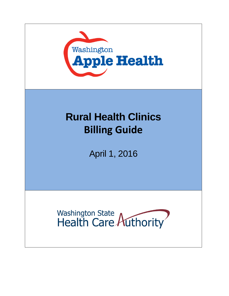

# **Rural Health Clinics Billing Guide**

April 1, 2016

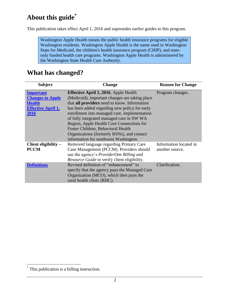## **About this guide\***

This publication takes effect April 1, 2016 and supersedes earlier guides to this program.

Washington Apple Health means the public health insurance programs for eligible Washington residents. Washington Apple Health is the name used in Washington State for Medicaid, the children's health insurance program (CHIP), and stateonly funded health care programs. Washington Apple Health is administered by the Washington State Health Care Authority.

#### **What has changed?**

<span id="page-1-0"></span>

| <b>Subject</b>            | <b>Change</b>                                   | <b>Reason for Change</b> |
|---------------------------|-------------------------------------------------|--------------------------|
| <b>Important</b>          | <b>Effective April 1, 2016</b> , Apple Health   | Program changes.         |
| <b>Changes to Apple</b>   | (Medicaid), important changes are taking place  |                          |
| <b>Health</b>             | that all providers need to know. Information    |                          |
| <b>Effective April 1,</b> | has been added regarding new policy for early   |                          |
| 2016                      | enrollment into managed care, implementation    |                          |
|                           | of fully integrated managed care in SW WA       |                          |
|                           | Region, Apple Health Core Connections for       |                          |
|                           | Foster Children, Behavioral Health              |                          |
|                           | Organizations (formerly RSNs), and contact      |                          |
|                           | information for southwest Washington.           |                          |
| Client eligibility -      | Removed language regarding Primary Care         | Information located in   |
| <b>PCCM</b>               | Case Management (PCCM). Providers should        | another source.          |
|                           | use the agency's <i>ProviderOne Billing and</i> |                          |
|                           | Resource Guide to verify client eligibility.    |                          |
| <b>Definitions</b>        | Revised definition of "enhancement" to          | Clarification.           |
|                           | specify that the agency pays the Managed Care   |                          |
|                           | Organization (MCO), which then pays the         |                          |
|                           | rural health clinic (RHC).                      |                          |

 $\overline{a}$ 

<sup>\*</sup> This publication is a billing instruction.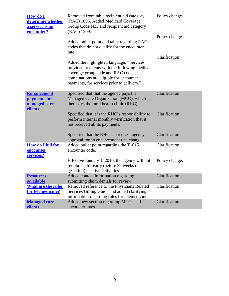| How do I<br>determine whether<br>a service is an<br>encounter? | Removed from table recipient aid category<br>(RAC) 1096. Added Medicaid Coverage<br>Group Code N23 and recipient aid category<br>(RAC) 1209.                                                                             | Policy change. |
|----------------------------------------------------------------|--------------------------------------------------------------------------------------------------------------------------------------------------------------------------------------------------------------------------|----------------|
|                                                                | Added bullet point and table regarding RAC<br>codes that do not qualify for the encounter<br>rate.                                                                                                                       | Policy change. |
|                                                                | Added the highlighted language: "Services<br>provided to clients with the following medical<br>coverage group code and RAC code<br>combinations are eligible for encounter<br>payments, for services prior to delivery." | Clarification. |
| <b>Enhancement</b><br>payments for<br><b>managed care</b>      | Specified that that the agency pays the<br>Managed Care Organization (MCO), which<br>then pays the rural health clinic (RHC).                                                                                            | Clarification. |
| <b>clients</b>                                                 | Specified that it is the RHC's responsibility to<br>perform internal monthly verification that it<br>has received all its payments.                                                                                      | Clarification. |
|                                                                | Specified that the RHC can request agency<br>approval for an enhancement rate change.                                                                                                                                    | Clarification. |
| <b>How do I bill for</b><br>encounter<br>services?             | Added bullet point regarding the T1015<br>encounter code.                                                                                                                                                                | Clarification. |
|                                                                | Effective January 1, 2016, the agency will not<br>reimburse for early (before 39 weeks of<br>gestation) elective deliveries.                                                                                             | Policy change. |
| <b>Resources</b>                                               | Added contact information regarding                                                                                                                                                                                      | Clarification. |
| <b>Available</b>                                               | submitting claim denials for review.                                                                                                                                                                                     |                |
| <b>What are the rules</b><br>for telemedicine?                 | Removed reference to the Physicians Related<br>Services Billing Guide and added clarifying                                                                                                                               | Clarification. |
|                                                                | information regarding rules for telemedicine.                                                                                                                                                                            |                |
| <b>Managed care</b><br><b>clients</b>                          | Added new section regarding MCOs and<br>encounter rates.                                                                                                                                                                 | Clarification. |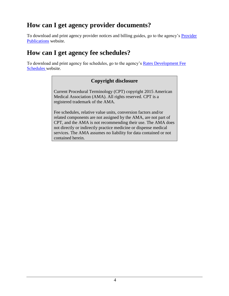## **How can I get agency provider documents?**

To download and print agency provider notices and billing guides, go to the agency's [Provider](http://www.hca.wa.gov/node/301)  [Publications](http://www.hca.wa.gov/node/301) website.

### **How can I get agency fee schedules?**

To download and print agency fee schedules, go to the agency's [Rates Development Fee](http://www.hca.wa.gov/node/301)  [Schedules w](http://www.hca.wa.gov/node/301)ebsite.

#### **Copyright disclosure**

Current Procedural Terminology (CPT) copyright 2015 American Medical Association (AMA). All rights reserved. CPT is a registered trademark of the AMA.

Fee schedules, relative value units, conversion factors and/or related components are not assigned by the AMA, are not part of CPT, and the AMA is not recommending their use. The AMA does not directly or indirectly practice medicine or dispense medical services. The AMA assumes no liability for data contained or not contained herein.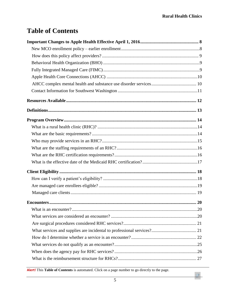$\Box$ 

## **Table of Contents**

**Alert!** This **Table of Contents** is automated. Click on a page number to go directly to the page.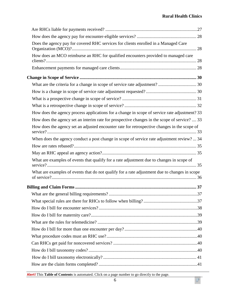#### **Rural Health Clinics**

 $\sqrt{\phantom{a}}$ 

| Does the agency pay for covered RHC services for clients enrolled in a Managed Care           |  |
|-----------------------------------------------------------------------------------------------|--|
| How does an MCO reimburse an RHC for qualified encounters provided to managed care            |  |
|                                                                                               |  |
|                                                                                               |  |
|                                                                                               |  |
|                                                                                               |  |
|                                                                                               |  |
|                                                                                               |  |
| How does the agency process applications for a change in scope of service rate adjustment? 33 |  |
| How does the agency set an interim rate for prospective changes in the scope of service?  33  |  |
| How does the agency set an adjusted encounter rate for retrospective changes in the scope of  |  |
| When does the agency conduct a post change in scope of service rate adjustment review?  34    |  |
|                                                                                               |  |
|                                                                                               |  |
| What are examples of events that qualify for a rate adjustment due to changes in scope of     |  |
| What are examples of events that do not qualify for a rate adjustment due to changes in scope |  |
|                                                                                               |  |
|                                                                                               |  |
|                                                                                               |  |
|                                                                                               |  |
|                                                                                               |  |
|                                                                                               |  |
|                                                                                               |  |
|                                                                                               |  |
|                                                                                               |  |
|                                                                                               |  |
|                                                                                               |  |
|                                                                                               |  |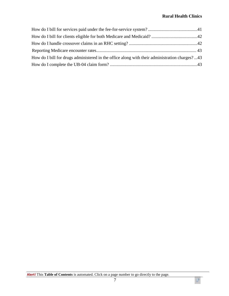$\sqrt{\phantom{a}}$ 

| How do I bill for drugs administered in the office along with their administration charges?43 |  |
|-----------------------------------------------------------------------------------------------|--|
|                                                                                               |  |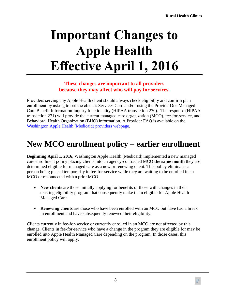# <span id="page-7-0"></span>**Important Changes to Apple Health Effective April 1, 2016**

#### **These changes are important to all providers because they may affect who will pay for services.**

Providers serving any Apple Health client should always check eligibility and confirm plan enrollment by asking to see the client's Services Card and/or using the ProviderOne Managed Care Benefit Information Inquiry functionality (HIPAA transaction 270). The response (HIPAA transaction 271) will provide the current managed care organization (MCO), fee-for-service, and Behavioral Health Organization (BHO) information. A Provider FAQ is available on the [Washington Apple Health \(Medicaid\) providers webpage.](http://www.hca.wa.gov/node/16)

# <span id="page-7-1"></span>**New MCO enrollment policy – earlier enrollment**

**Beginning April 1, 2016,** Washington Apple Health (Medicaid) implemented a new managed care enrollment policy placing clients into an agency-contracted MCO **the same month** they are determined eligible for managed care as a new or renewing client. This policy eliminates a person being placed temporarily in fee-for-service while they are waiting to be enrolled in an MCO or reconnected with a prior MCO.

- **New clients** are those initially applying for benefits or those with changes in their existing eligibility program that consequently make them eligible for Apple Health Managed Care.
- **Renewing clients** are those who have been enrolled with an MCO but have had a break in enrollment and have subsequently renewed their eligibility.

Clients currently in fee-for-service or currently enrolled in an MCO are not affected by this change. Clients in fee-for-service who have a change in the program they are eligible for may be enrolled into Apple Health Managed Care depending on the program. In those cases, this enrollment policy will apply.

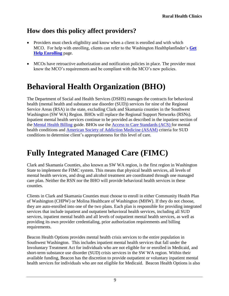## <span id="page-8-0"></span>**How does this policy affect providers?**

- Providers must check eligibility and know when a client is enrolled and with which MCO. For help with enrolling, clients can refer to the Washington Healthplanfinder's **[Get](http://www.wahbexchange.org/new-customers/application-support/customer-support-network/)  [Help Enrolling](http://www.wahbexchange.org/new-customers/application-support/customer-support-network/)** page.
- MCOs have retroactive authorization and notification policies in place. The provider must know the MCO's requirements and be compliant with the MCO's new policies.

# <span id="page-8-1"></span>**Behavioral Health Organization (BHO)**

The Department of Social and Health Services (DSHS) manages the contracts for behavioral health (mental health and substance use disorder (SUD)) services for nine of the Regional Service Areas (RSA) in the state, excluding Clark and Skamania counties in the Southwest Washington (SW WA) Region. BHOs will replace the Regional Support Networks (RSNs). Inpatient mental health services continue to be provided as described in the inpatient section of the [Mental Health Billing](http://www.hca.wa.gov/node/301#collapse30) guide. BHOs use the [Access to Care Standards \(ACS\) f](https://www.dshs.wa.gov/bha/division-behavioral-health-and-recovery/access-care-standards-acs-and-icd-information)or mental health conditions and [American Society of Addiction Medicine \(ASAM\)](http://www.asam.org/quality-practice/guidelines-and-consensus-documents/the-asam-criteria/about) criteria for SUD conditions to determine client's appropriateness for this level of care.

# <span id="page-8-2"></span>**Fully Integrated Managed Care (FIMC)**

Clark and Skamania Counties, also known as SW WA region, is the first region in Washington State to implement the FIMC system. This means that physical health services, all levels of mental health services, and drug and alcohol treatment are coordinated through one managed care plan. Neither the RSN nor the BHO will provide behavioral health services in these counties.

Clients in Clark and Skamania Counties must choose to enroll in either Community Health Plan of Washington (CHPW) or Molina Healthcare of Washington (MHW). If they do not choose, they are auto-enrolled into one of the two plans. Each plan is responsible for providing integrated services that include inpatient and outpatient behavioral health services, including all SUD services, inpatient mental health and all levels of outpatient mental health services, as well as providing its own provider credentialing, prior authorization requirements and billing requirements.

Beacon Health Options provides mental health crisis services to the entire population in Southwest Washington. This includes inpatient mental health services that fall under the Involuntary Treatment Act for individuals who are not eligible for or enrolled in Medicaid, and short-term substance use disorder (SUD) crisis services in the SW WA region. Within their available funding, Beacon has the discretion to provide outpatient or voluntary inpatient mental health services for individuals who are not eligible for Medicaid. Beacon Health Options is also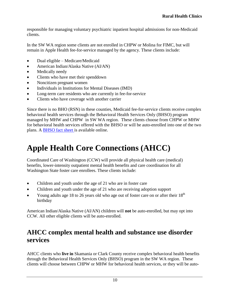responsible for managing voluntary psychiatric inpatient hospital admissions for non-Medicaid clients.

In the SW WA region some clients are not enrolled in CHPW or Molina for FIMC, but will remain in Apple Health fee-for-service managed by the agency. These clients include:

- Dual eligible Medicare/Medicaid
- American Indian/Alaska Native (AI/AN)
- Medically needy
- Clients who have met their spenddown
- Noncitizen pregnant women
- Individuals in Institutions for Mental Diseases (IMD)
- Long-term care residents who are currently in fee-for-service
- Clients who have coverage with another carrier

Since there is no BHO (RSN) in these counties, Medicaid fee-for-service clients receive complex behavioral health services through the Behavioral Health Services Only (BHSO) program managed by MHW and CHPW in SW WA region. These clients choose from CHPW or MHW for behavioral health services offered with the BHSO or will be auto-enrolled into one of the two plans. A [BHSO fact sheet i](http://www.hca.wa.gov/assets/BHSO_fact_sheet.pdf)s available online.

# <span id="page-9-0"></span>**Apple Health Core Connections (AHCC)**

Coordinated Care of Washington (CCW) will provide all physical health care (medical) benefits, lower-intensity outpatient mental health benefits and care coordination for all Washington State foster care enrollees. These clients include:

- Children and youth under the age of 21 who are in foster care
- Children and youth under the age of 21 who are receiving adoption support
- Young adults age 18 to 26 years old who age out of foster care on or after their  $18<sup>th</sup>$ birthday

American Indian/Alaska Native (AI/AN) children will **not** be auto-enrolled, but may opt into CCW. All other eligible clients will be auto-enrolled.

#### <span id="page-9-1"></span>**AHCC complex mental health and substance use disorder services**

AHCC clients who **live in** Skamania or Clark County receive complex behavioral health benefits through the Behavioral Health Services Only (BHSO) program in the SW WA region. These clients will choose between CHPW or MHW for behavioral health services, or they will be auto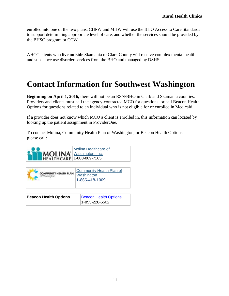enrolled into one of the two plans. CHPW and MHW will use the BHO Access to Care Standards to support determining appropriate level of care, and whether the services should be provided by the BHSO program or CCW.

AHCC clients who **live outside** Skamania or Clark County will receive complex mental health and substance use disorder services from the BHO and managed by DSHS.

# <span id="page-10-0"></span>**Contact Information for Southwest Washington**

**Beginning on April 1, 2016,** there will not be an RSN/BHO in Clark and Skamania counties. Providers and clients must call the agency-contracted MCO for questions, or call Beacon Health Options for questions related to an individual who is not eligible for or enrolled in Medicaid.

If a provider does not know which MCO a client is enrolled in, this information can located by looking up the patient assignment in ProviderOne.

To contact Molina, Community Health Plan of Washington, or Beacon Health Options, please call:

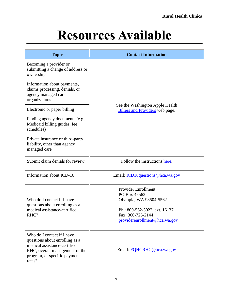# **Resources Available**

<span id="page-11-0"></span>

| <b>Topic</b>                                                                                                                                                             | <b>Contact Information</b>                                                                                                                                  |  |
|--------------------------------------------------------------------------------------------------------------------------------------------------------------------------|-------------------------------------------------------------------------------------------------------------------------------------------------------------|--|
| Becoming a provider or<br>submitting a change of address or<br>ownership                                                                                                 |                                                                                                                                                             |  |
| Information about payments,<br>claims processing, denials, or<br>agency managed care<br>organizations                                                                    |                                                                                                                                                             |  |
| Electronic or paper billing                                                                                                                                              | See the Washington Apple Health<br>Billers and Providers web page.                                                                                          |  |
| Finding agency documents (e.g.,<br>Medicaid billing guides, fee<br>schedules)                                                                                            |                                                                                                                                                             |  |
| Private insurance or third-party<br>liability, other than agency<br>managed care                                                                                         |                                                                                                                                                             |  |
| Submit claim denials for review                                                                                                                                          | Follow the instructions here.                                                                                                                               |  |
| Information about ICD-10                                                                                                                                                 | Email: ICD10questions@hca.wa.gov                                                                                                                            |  |
| Who do I contact if I have<br>questions about enrolling as a<br>medical assistance-certified<br>RHC?                                                                     | <b>Provider Enrollment</b><br>PO Box 45562<br>Olympia, WA 98504-5562<br>Ph.: 800-562-3022, ext. 16137<br>Fax: 360-725-2144<br>providerenrollment@hca.wa.gov |  |
| Who do I contact if I have<br>questions about enrolling as a<br>medical assistance-certified<br>RHC, overall management of the<br>program, or specific payment<br>rates? | Email: FQHCRHC@hca.wa.gov                                                                                                                                   |  |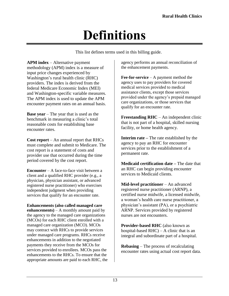# **Definitions**

This list defines terms used in this billing guide.

<span id="page-12-0"></span>**APM index** – Alternative payment methodology (APM) index is a measure of input price changes experienced by Washington's rural health clinic (RHC) providers. The index is derived from the federal Medicare Economic Index (MEI) and Washington-specific variable measures. The APM index is used to update the APM encounter payment rates on an annual basis.

**Base year** – The year that is used as the benchmark in measuring a clinic's total reasonable costs for establishing base encounter rates.

**Cost report** – An annual report that RHCs must complete and submit to Medicare. The cost report is a statement of costs and provider use that occurred during the time period covered by the cost report.

**Encounter** – A face-to-face visit between a client and a qualified RHC provider (e.g., a physician, physician assistant, or advanced registered nurse practitioner) who exercises independent judgment when providing services that qualify for an encounter rate.

**Enhancements (also called managed care enhancements**)  $- A$  monthly amount paid by the agency to the managed care organizations (MCOs) for each RHC client enrolled with a managed care organization (MCO). MCOs may contract with RHCs to provide services under managed care programs. RHCs receive enhancements in addition to the negotiated payments they receive from the MCOs for services provided to enrollees. MCOs pass the enhancements to the RHCs. To ensure that the appropriate amounts are paid to each RHC, the agency performs an annual reconciliation of the enhancement payments.

**Fee-for-service** – A payment method the agency uses to pay providers for covered medical services provided to medical assistance clients, except those services provided under the agency's prepaid managed care organizations, or those services that qualify for an encounter rate.

**Freestanding RHC** – An independent clinic that is not part of a hospital, skilled nursing facility, or home health agency.

**Interim rate –** The rate established by the agency to pay an RHC for encounter services prior to the establishment of a permanent rate.

**Medicaid certification date –** The date that an RHC can begin providing encounter services to Medicaid clients.

**Mid-level practitioner** – An advanced registered nurse practitioner (ARNP), a certified nurse midwife, a licensed midwife, a woman's health care nurse practitioner, a physician's assistant (PA), or a psychiatric ARNP. Services provided by registered nurses are not encounters.

**Provider-based RHC** (also known as hospital-based  $RHC - A$  clinic that is an integral and subordinate part of a hospital.

**Rebasing** – The process of recalculating encounter rates using actual cost report data.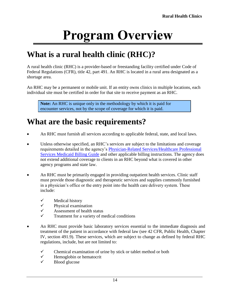# **Program Overview**

# <span id="page-13-1"></span><span id="page-13-0"></span>**What is a rural health clinic (RHC)?**

A rural health clinic (RHC) is a provider-based or freestanding facility certified under Code of Federal Regulations (CFR), title 42, part 491. An RHC is located in a rural area designated as a shortage area.

An RHC may be a permanent or mobile unit. If an entity owns clinics in multiple locations, each individual site must be certified in order for that site to receive payment as an RHC.

**Note:** An RHC is unique only in the methodology by which it is paid for encounter services, not by the scope of coverage for which it is paid.

# <span id="page-13-2"></span>**What are the basic requirements?**

- An RHC must furnish all services according to applicable federal, state, and local laws.
- Unless otherwise specified, an RHC's services are subject to the limitations and coverage requirements detailed in the agency's [Physician-Related Services/Healthcare Professional](http://www.hca.wa.gov/node/301#collapse40)  [Services Medicaid Billing Guide](http://www.hca.wa.gov/node/301#collapse40) and other applicable billing instructions. The agency does not extend additional coverage to clients in an RHC beyond what is covered in other agency programs and state law.
- An RHC must be primarily engaged in providing outpatient health services. Clinic staff must provide those diagnostic and therapeutic services and supplies commonly furnished in a physician's office or the entry point into the health care delivery system. These include:
	- $\checkmark$  Medical history
	- $\checkmark$  Physical examination
	- $\checkmark$  Assessment of health status<br> $\checkmark$  Treatment for a variety of m
	- Treatment for a variety of medical conditions
- An RHC must provide basic laboratory services essential to the immediate diagnosis and treatment of the patient in accordance with federal law (see 42 CFR, Public Health, Chapter IV, section 491.9). These services, which are subject to change as defined by federal RHC regulations, include, but are not limited to:
	- $\checkmark$  Chemical examination of urine by stick or tablet method or both
	- $\checkmark$  Hemoglobin or hematocrit
	- $\checkmark$  Blood glucose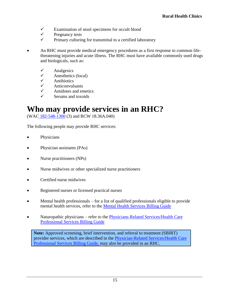- $\checkmark$  Examination of stool specimens for occult blood
- $\checkmark$  Pregnancy tests
- $\checkmark$  Primary culturing for transmittal to a certified laboratory
- An RHC must provide medical emergency procedures as a first response to common lifethreatening injuries and acute illness. The RHC must have available commonly used drugs and biologicals, such as:
	- $\checkmark$  Analgesics
	- $\checkmark$  Anesthetics (local)
	- $\checkmark$  Antibiotics
	- Anticonvulsants
	- $\checkmark$  Antidotes and emetics
	- $\checkmark$  Serums and toxoids

## <span id="page-14-0"></span>**Who may provide services in an RHC?**

(WAC [182-548-1300](http://apps.leg.wa.gov/WAC/default.aspx?cite=182-548-1300) (3) and RCW 18.36A.040)

The following people may provide RHC services:

- Physicians
- Physician assistants (PAs)
- Nurse practitioners (NPs)
- Nurse midwives or other specialized nurse practitioners
- **•** Certified nurse midwives
- Registered nurses or licensed practical nurses
- Mental health professionals for a list of qualified professionals eligible to provide mental health services, refer to the [Mental Health Services Billing Guide](http://www.hca.wa.gov/node/301#collapse30)
- Naturopathic physicians refer to the Physicians-Related Services/Health Care [Professional Services Billing Guide](http://www.hca.wa.gov/node/301#collapse40)

**Note:** Approved screening, brief intervention, and referral to treatment (SBIRT) provider services, which are described in the [Physician-Related Services/Health Care](http://www.hca.wa.gov/node/301#collapse40)  [Professional Services Billing Guide,](http://www.hca.wa.gov/node/301#collapse40) may also be provided in an RHC.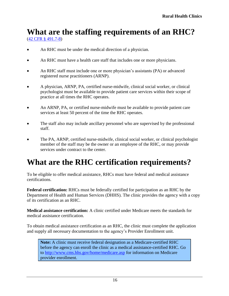# <span id="page-15-0"></span>**What are the staffing requirements of an RHC?**

[\(42 CFR §](http://ecfr.gpoaccess.gov/cgi/t/text/text-idx?c=ecfr&sid=055ab73480525cb662c27bebb050f552&tpl=/ecfrbrowse/Title42/42cfr491_main_02.tpl) 491.7-8)

- An RHC must be under the medical direction of a physician.
- An RHC must have a health care staff that includes one or more physicians.
- An RHC staff must include one or more physician's assistants (PA) or advanced registered nurse practitioners (ARNP).
- A physician, ARNP, PA, certified nurse-midwife, clinical social worker, or clinical psychologist must be available to provide patient care services within their scope of practice at all times the RHC operates.
- An ARNP, PA, or certified nurse-midwife must be available to provide patient care services at least 50 percent of the time the RHC operates.
- The staff also may include ancillary personnel who are supervised by the professional staff.
- The PA, ARNP, certified nurse-midwife, clinical social worker, or clinical psychologist member of the staff may be the owner or an employee of the RHC, or may provide services under contract to the center.

# <span id="page-15-1"></span>**What are the RHC certification requirements?**

To be eligible to offer medical assistance, RHCs must have federal and medical assistance certifications.

**Federal certification:** RHCs must be federally certified for participation as an RHC by the Department of Health and Human Services (DHHS). The clinic provides the agency with a copy of its certification as an RHC.

**Medical assistance certification:** A clinic certified under Medicare meets the standards for medical assistance certification.

To obtain medical assistance certification as an RHC, the clinic must complete the application and supply all necessary documentation to the agency's Provider Enrollment unit.

**Note:** A clinic must receive federal designation as a Medicare-certified RHC before the agency can enroll the clinic as a medical assistance-certified RHC. Go to <http://www.cms.hhs.gov/home/medicare.asp> for information on Medicare provider enrollment.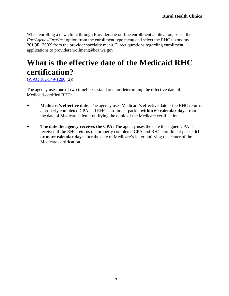When enrolling a new clinic through ProviderOne on-line enrollment application, select the *Fac/Agency/Org/Inst* option from the enrollment type menu and select the RHC taxonomy 261QR1300X from the provider specialty menu. Direct questions regarding enrollment applications to providerenrollment@hca.wa.gov.

# <span id="page-16-0"></span>**What is the effective date of the Medicaid RHC certification?**

(WAC [182-549-1200](http://app.leg.wa.gov/WAC/default.aspx?cite=182-549-1200) (2))

The agency uses one of two timeliness standards for determining the effective date of a Medicaid-certified RHC:

- **Medicare's effective date:** The agency uses Medicare's effective date if the RHC returns a properly completed CPA and RHC enrollment packet **within 60 calendar days** from the date of Medicare's letter notifying the clinic of the Medicare certification.
- **The date the agency receives the CPA:** The agency uses the date the signed CPA is received if the RHC returns the properly completed CPA and RHC enrollment packet **61 or more calendar days** after the date of Medicare's letter notifying the center of the Medicare certification.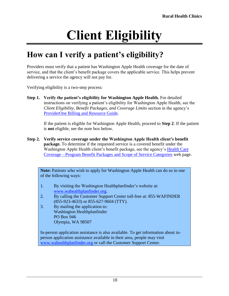# **Client Eligibility**

# <span id="page-17-1"></span><span id="page-17-0"></span>**How can I verify a patient's eligibility?**

Providers must verify that a patient has Washington Apple Health coverage for the date of service, and that the client's benefit package covers the applicable service. This helps prevent delivering a service the agency will not pay for.

Verifying eligibility is a two-step process:

**Step 1. Verify the patient's eligibility for Washington Apple Health.** For detailed instructions on verifying a patient's eligibility for Washington Apple Health, see the *Client Eligibility, Benefit Packages, and Coverage Limits* section in the agency's [ProviderOne Billing and Resource Guide.](http://www.hca.wa.gov/node/311)

If the patient is eligible for Washington Apple Health, proceed to **Step 2**. If the patient is **not** eligible, see the note box below.

**Step 2. Verify service coverage under the Washington Apple Health client's benefit package.** To determine if the requested service is a covered benefit under the Washington Apple Health client's benefit package, see the agency's [Health Care](http://www.hca.wa.gov/node/2391)  [Coverage—Program Benefit Packages and Scope of Service Categories](http://www.hca.wa.gov/node/2391) web page.

**Note:** Patients who wish to apply for Washington Apple Health can do so in one of the following ways:

- 1. By visiting the Washington Healthplanfinder's website at: [www.wahealthplanfinder.org.](http://www.wahealthplanfinder.org/)
- 2. By calling the Customer Support Center toll-free at: 855-WAFINDER (855-923-4633) or 855-627-9604 (TTY).
- 3. By mailing the application to: Washington Healthplanfinder PO Box 946 Olympia, WA 98507

In-person application assistance is also available. To get information about inperson application assistance available in their area, people may visit [www.wahealthplanfinder.org](http://www.wahealthplanfinder.org/) or call the Customer Support Center.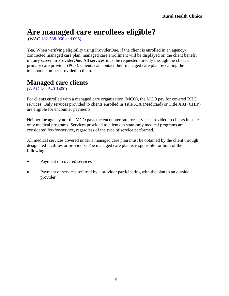# <span id="page-18-1"></span>**Are managed care enrollees eligible?**

(WAC [182-538-060](http://apps.leg.wa.gov/WAC/default.aspx?cite=182-538-060) and [095\)](http://app.leg.wa.gov/WAC/default.aspx?cite=182-538-095)

**Yes.** When verifying eligibility using ProviderOne, if the client is enrolled in an agencycontracted managed care plan, managed care enrollment will be displayed on the client benefit inquiry screen in ProviderOne. All services must be requested directly through the client's primary care provider (PCP). Clients can contact their managed care plan by calling the telephone number provided to them.

#### <span id="page-18-0"></span>**Managed care clients**

[\(WAC 182-549-1400\)](http://app.leg.wa.gov/wac/default.aspx?cite=182-549-1400)

For clients enrolled with a managed care organization (MCO), the MCO pay for covered RHC services. Only services provided to clients enrolled in Title XIX (Medicaid) or Title XXI (CHIP) are eligible for encounter payments.

Neither the agency nor the MCO pays the encounter rate for services provided to clients in stateonly medical programs. Services provided to clients in state-only medical programs are considered fee-for-service, regardless of the type of service performed.

All medical services covered under a managed care plan must be obtained by the client through designated facilities or providers. The managed care plan is responsible for both of the following:

- Payment of covered services
- Payment of services referred by a provider participating with the plan to an outside provider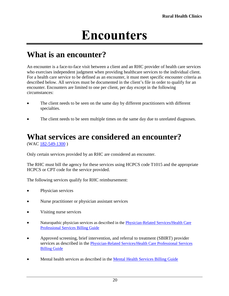# **Encounters**

## <span id="page-19-1"></span><span id="page-19-0"></span>**What is an encounter?**

An encounter is a face-to-face visit between a client and an RHC provider of health care services who exercises independent judgment when providing healthcare services to the individual client. For a health care service to be defined as an encounter, it must meet specific encounter criteria as described below. All services must be documented in the client's file in order to qualify for an encounter. Encounters are limited to one per client, per day except in the following circumstances:

- The client needs to be seen on the same day by different practitioners with different specialties.
- The client needs to be seen multiple times on the same day due to unrelated diagnoses.

# <span id="page-19-2"></span>**What services are considered an encounter?**

(WAC [182-549-1300](http://app.leg.wa.gov/WAC/default.aspx?cite=182-549-1300) )

Only certain services provided by an RHC are considered an encounter.

The RHC must bill the agency for these services using HCPCS code T1015 and the appropriate HCPCS or CPT code for the service provided.

The following services qualify for RHC reimbursement:

- Physician services
- Nurse practitioner or physician assistant services
- Visiting nurse services
- Naturopathic physician services as described in the [Physician-Related Services/Health Care](http://www.hca.wa.gov/node/301#collapse40)  [Professional Services Billing Guide](http://www.hca.wa.gov/node/301#collapse40)
- Approved screening, brief intervention, and referral to treatment (SBIRT) provider services as described in the [Physician-Related Services/Health Care Professional Services](http://www.hca.wa.gov/node/301#collapse40)  [Billing Guide](http://www.hca.wa.gov/node/301#collapse40)
- Mental health services as described in the Mental Health [Services Billing Guide](http://www.hca.wa.gov/node/301#collapse30)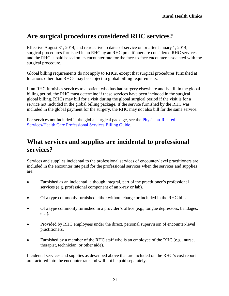### <span id="page-20-0"></span>**Are surgical procedures considered RHC services?**

Effective August 31, 2014, and retroactive to dates of service on or after January 1, 2014, surgical procedures furnished in an RHC by an RHC practitioner are considered RHC services, and the RHC is paid based on its encounter rate for the face-to-face encounter associated with the surgical procedure.

Global billing requirements do not apply to RHCs, except that surgical procedures furnished at locations other than RHCs may be subject to global billing requirements.

If an RHC furnishes services to a patient who has had surgery elsewhere and is still in the global billing period, the RHC must determine if these services have been included in the surgical global billing. RHCs may bill for a visit during the global surgical period if the visit is for a service not included in the global billing package. If the service furnished by the RHC was included in the global payment for the surgery, the RHC may not also bill for the same service.

For services not included in the global surgical package, see the [Physician-Related](http://www.hca.wa.gov/node/301#collapse40)  [Services/Health Care Professional Services Billing Guide.](http://www.hca.wa.gov/node/301#collapse40)

### <span id="page-20-1"></span>**What services and supplies are incidental to professional services?**

Services and supplies incidental to the professional services of encounter-level practitioners are included in the encounter rate paid for the professional services when the services and supplies are:

- Furnished as an incidental, although integral, part of the practitioner's professional services (e.g. professional component of an x-ray or lab).
- Of a type commonly furnished either without charge or included in the RHC bill.
- Of a type commonly furnished in a provider's office (e.g., tongue depressors, bandages, etc.).
- Provided by RHC employees under the direct, personal supervision of encounter-level practitioners.
- Furnished by a member of the RHC staff who is an employee of the RHC (e.g., nurse, therapist, technician, or other aide).

Incidental services and supplies as described above that are included on the RHC's cost report are factored into the encounter rate and will not be paid separately.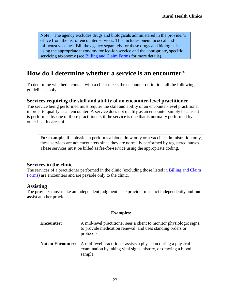**Note:** The agency excludes drugs and biologicals administered in the provider's office from the list of encounter services. This includes pneumococcal and influenza vaccines. Bill the agency separately for these drugs and biologicals using the appropriate taxonomy for fee-for-service and the appropriate, specific servicing taxonomy (see [Billing and Claim Forms](#page-36-0) for more details).

#### <span id="page-21-0"></span>**How do I determine whether a service is an encounter?**

To determine whether a contact with a client meets the encounter definition, all the following guidelines apply:

#### <span id="page-21-1"></span>**Services requiring the skill and ability of an encounter-level practitioner**

The service being performed must require the skill and ability of an encounter-level practitioner in order to qualify as an encounter. A service does not qualify as an encounter simply because it is performed by one of these practitioners if the service is one that is normally performed by other health care staff.

**For example**, if a physician performs a blood draw only or a vaccine administration only, these services are not encounters since they are normally performed by registered nurses. These services must be billed as fee-for-service using the appropriate coding.

#### **Services in the clinic**

The services of a practitioner performed in the clinic (excluding those listed in [Billing and Claim](#page-36-0)  [Forms\)](#page-36-0) are encounters and are payable only to the clinic.

#### **Assisting**

The provider must make an independent judgment. The provider must act independently and **not assist** another provider.

| <b>Examples:</b>         |                                                                                                                                                  |
|--------------------------|--------------------------------------------------------------------------------------------------------------------------------------------------|
| <b>Encounter:</b>        | A mid-level practitioner sees a client to monitor physiologic signs,<br>to provide medication renewal, and uses standing orders or<br>protocols. |
| <b>Not an Encounter:</b> | A mid-level practitioner assists a physician during a physical<br>examination by taking vital signs, history, or drawing a blood<br>sample.      |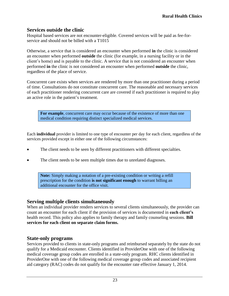#### **Services outside the clinic**

Hospital based services are not encounter-eligible. Covered services will be paid as fee-forservice and should not be billed with a T1015

Otherwise, a service that is considered an encounter when performed **in** the clinic is considered an encounter when performed **outside** the clinic (for example, in a nursing facility or in the client's home) and is payable to the clinic. A service that is not considered an encounter when performed **in** the clinic is not considered an encounter when performed **outside** the clinic, regardless of the place of service.

Concurrent care exists when services are rendered by more than one practitioner during a period of time. Consultations do not constitute concurrent care. The reasonable and necessary services of each practitioner rendering concurrent care are covered if each practitioner is required to play an active role in the patient's treatment.

**For example**, concurrent care may occur because of the existence of more than one medical condition requiring distinct specialized medical services.

Each **individual** provider is limited to one type of encounter per day for each client, regardless of the services provided except in either one of the following circumstances:

- The client needs to be seen by different practitioners with different specialties.
- The client needs to be seen multiple times due to unrelated diagnoses.

**Note:** Simply making a notation of a pre-existing condition or writing a refill prescription for the condition **is not significant enough** to warrant billing an additional encounter for the office visit.

#### **Serving multiple clients simultaneously**

When an individual provider renders services to several clients simultaneously, the provider can count an encounter for each client if the provision of services is documented in **each client's**  health record. This policy also applies to family therapy and family counseling sessions. **Bill services for each client on separate claim forms.** 

#### <span id="page-22-0"></span>**State-only programs**

Services provided to clients in state-only programs and reimbursed separately by the state do not qualify for a Medicaid encounter. Clients identified in ProviderOne with one of the following medical coverage group codes are enrolled in a state-only program. RHC clients identified in ProviderOne with one of the following medical coverage group codes and associated recipient aid category (RAC) codes do not qualify for the encounter rate effective January 1, 2014.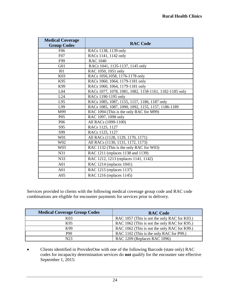| <b>Medical Coverage</b><br><b>Group Codes</b> | <b>RAC Code</b>                                        |  |
|-----------------------------------------------|--------------------------------------------------------|--|
| F <sub>06</sub>                               | RACs 1138, 1139 only                                   |  |
| F07                                           | RACs 1141, 1142 only                                   |  |
| F99                                           | <b>RAC 1040</b>                                        |  |
| G <sub>01</sub>                               | RACs 1041, 1135-1137, 1145 only                        |  |
| I <sub>01</sub>                               | RAC 1050, 1051 only                                    |  |
| K03                                           | RACs 1056,1058, 1176-1178 only                         |  |
| K95                                           | RACs 1060, 1064, 1179-1181 only                        |  |
| K99                                           | RACs 1060, 1064, 1179-1181 only                        |  |
| L <sub>04</sub>                               | RACs 1077, 1078, 1081, 1082, 1158-1161, 1182-1185 only |  |
| L24                                           | RACs 1190-1195 only                                    |  |
| L95                                           | RACs 1085, 1087, 1155, 1157, 1186, 1187 only           |  |
| L99                                           | RACs 1085, 1087, 1090, 1092, 1155, 1157, 1186-1189     |  |
| M99                                           | RAC 1094 (This is the only RAC for M99)                |  |
| P <sub>05</sub>                               | RAC 1097, 1098 only                                    |  |
| P <sub>06</sub>                               | All RACs (1099-1100)                                   |  |
| S95                                           | RACs 1125, 1127                                        |  |
| S99                                           | RACs 1125, 1127                                        |  |
| W01                                           | All RACs (1128, 1129, 1170, 1171)                      |  |
| W02                                           | All RACs (1130, 1131, 1172, 1173)                      |  |
| W03                                           | RAC 1132 (This is the only RAC for W03)                |  |
| N31                                           | RAC 1211 (replaces 1138 and 1139)                      |  |
| N33                                           | RAC 1212, 1213 (replaces 1141, 1142)                   |  |
| A01                                           | RAC 1214 (replaces 1041)                               |  |
| A <sub>01</sub>                               | RAC 1215 (replaces 1137)                               |  |
| A05                                           | RAC 1216 (replaces 1145)                               |  |

Services provided to clients with the following medical coverage group code and RAC code combinations are eligible for encounter payments for services prior to delivery.

| <b>Medical Coverage Group Codes</b> | <b>RAC Code</b>                              |
|-------------------------------------|----------------------------------------------|
| K <sub>03</sub>                     | RAC 1057 (This is not the only RAC for K03.) |
| K95                                 | RAC 1062 (This is not the only RAC for K95.) |
| K99                                 | RAC 1062 (This is not the only RAC for K99.) |
| P99                                 | RAC 1102 (This is the only RAC for P99.)     |
| N23                                 | RAC 1209 (Replaces RAC 1096)                 |

 Clients identified in ProviderOne with one of the following Barcode (state only) RAC codes for incapacity determination services do **not** qualify for the encounter rate effective September 1, 2015: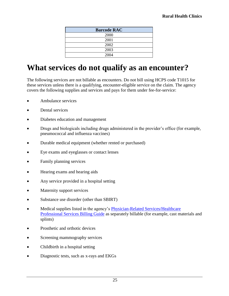| <b>Barcode RAC</b> |
|--------------------|
| 2000               |
| 2001               |
| 2002               |
| 2003               |
| 2004               |

# <span id="page-24-0"></span>**What services do not qualify as an encounter?**

The following services are not billable as encounters. Do not bill using HCPS code T1015 for these services unless there is a qualifying, encounter-eligible service on the claim. The agency covers the following supplies and services and pays for them under fee-for-service:

- Ambulance services
- Dental services
- Diabetes education and management
- Drugs and biologicals including drugs administered in the provider's office (for example, pneumococcal and influenza vaccines)
- Durable medical equipment (whether rented or purchased)
- Eye exams and eyeglasses or contact lenses
- Family planning services
- Hearing exams and hearing aids
- Any service provided in a hospital setting
- Maternity support services
- Substance use disorder (other than SBIRT)
- Medical supplies listed in the agency's [Physician-Related Services/Healthcare](http://www.hca.wa.gov/node/301#collapse40)  [Professional Services Billing Guide](http://www.hca.wa.gov/node/301#collapse40) as separately billable (for example, cast materials and splints)
- Prosthetic and orthotic devices
- Screening mammography services
- Childbirth in a hospital setting
- Diagnostic tests, such as x-rays and EKGs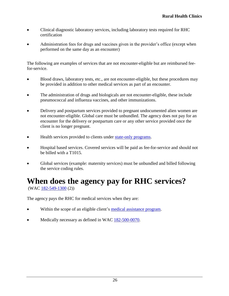- Clinical diagnostic laboratory services, including laboratory tests required for RHC certification
- Administration fees for drugs and vaccines given in the provider's office (except when performed on the same day as an encounter)

The following are examples of services that are not encounter-eligible but are reimbursed feefor-service.

- Blood draws, laboratory tests, etc., are not encounter-eligible, but these procedures may be provided in addition to other medical services as part of an encounter.
- The administration of drugs and biologicals are not encounter-eligible, these include pneumococcal and influenza vaccines, and other immunizations.
- Delivery and postpartum services provided to pregnant undocumented alien women are not encounter-eligible. Global care must be unbundled. The agency does not pay for an encounter for the delivery or postpartum care or any other service provided once the client is no longer pregnant.
- Health services provided to clients under [state-only programs.](#page-22-0)
- Hospital based services. Covered services will be paid as fee-for-service and should not be billed with a T1015.
- Global services (example: maternity services) must be unbundled and billed following the service coding rules.

# <span id="page-25-0"></span>**When does the agency pay for RHC services?**

(WAC [182-549-1300](http://app.leg.wa.gov/WAC/default.aspx?cite=182-549-1300) (2))

The agency pays the RHC for medical services when they are:

- Within the scope of an eligible client's medical [assistance](http://apps.leg.wa.gov/WAC/default.aspx?cite=182-501-0060) program.
- Medically necessary as defined in WAC  $182-500-0070$ .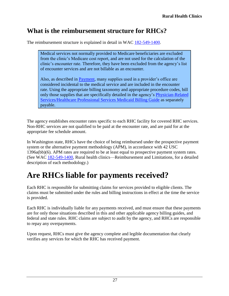## <span id="page-26-0"></span>**What is the reimbursement structure for RHCs?**

The reimbursement structure is explained in detail in WAC [182-549-1400.](http://app.leg.wa.gov/WAC/default.aspx?cite=182-549-1400)

Medical services not normally provided to Medicare beneficiaries are excluded from the clinic's Medicare cost report, and are not used for the calculation of the clinic's encounter rate. Therefore, they have been excluded from the agency's list of encounter services and are not billable as an encounter.

Also, as described in [Payment,](#page-25-0) many supplies used in a provider's office are considered incidental to the medical service and are included in the encounter rate. Using the appropriate billing taxonomy and appropriate procedure codes, bill only those supplies that are specifically detailed in the agency's [Physician-Related](http://www.hca.wa.gov/node/301#collapse40)  [Services/Healthcare Professional Services Medicaid Billing Guide](http://www.hca.wa.gov/node/301#collapse40) as separately payable.

The agency establishes encounter rates specific to each RHC facility for covered RHC services. Non-RHC services are not qualified to be paid at the encounter rate, and are paid for at the appropriate fee schedule amount.

In Washington state, RHCs have the choice of being reimbursed under the prospective payment system or the alternative payment methodology (APM), in accordance with 42 USC 1396a(bb)(6). APM rates are required to be at least equal to prospective payment system rates. (See WAC [182-549-1400,](http://app.leg.wa.gov/WAC/default.aspx?cite=182-549-1400) Rural health clinics—Reimbursement and Limitations, for a detailed description of each methodology.)

# <span id="page-26-1"></span>**Are RHCs liable for payments received?**

Each RHC is responsible for submitting claims for services provided to eligible clients. The claims must be submitted under the rules and billing instructions in effect at the time the service is provided.

Each RHC is individually liable for any payments received, and must ensure that these payments are for only those situations described in this and other applicable agency billing guides, and federal and state rules. RHC claims are subject to audit by the agency, and RHCs are responsible to repay any overpayments.

Upon request, RHCs must give the agency complete and legible documentation that clearly verifies any services for which the RHC has received payment.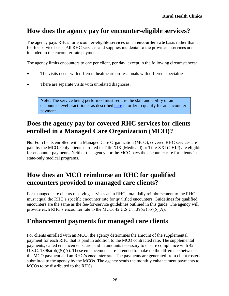## <span id="page-27-1"></span>**How does the agency pay for encounter-eligible services?**

The agency pays RHCs for encounter-eligible services on an **encounter rate** basis rather than a fee-for-service basis. All RHC services and supplies incidental to the provider's services are included in the encounter rate payment.

The agency limits encounters to one per client, per day, except in the following circumstances:

- The visits occur with different healthcare professionals with different specialties.
- There are separate visits with unrelated diagnoses.

**Note:** The service being performed must require the skill and ability of an encounter-level practitioner as described [here](#page-21-1) in order to qualify for an encounter payment.

### <span id="page-27-2"></span>**Does the agency pay for covered RHC services for clients enrolled in a Managed Care Organization (MCO)?**

**No.** For clients enrolled with a Managed Care Organization (MCO), covered RHC services are paid by the MCO. Only clients enrolled in Title XIX (Medicaid) or Title XXI (CHIP) are eligible for encounter payments. Neither the agency nor the MCO pays the encounter rate for clients in state-only medical programs.

#### <span id="page-27-3"></span>**How does an MCO reimburse an RHC for qualified encounters provided to managed care clients?**

For managed care clients receiving services at an RHC, total daily reimbursement to the RHC must equal the RHC's specific encounter rate for qualified encounters. Guidelines for qualified encounters are the same as the fee-for-service guidelines outlined in this guide. The agency will provide each RHC's encounter rate to the MCO. 42 U.S.C. 1396a (bb)(5)(A).

#### <span id="page-27-0"></span>**Enhancement payments for managed care clients**

For clients enrolled with an MCO, the agency determines the amount of the supplemental payment for each RHC that is paid in addition to the MCO contracted rate. The supplemental payments, called enhancements, are paid in amounts necessary to ensure compliance with 42 U.S.C. 1396a(bb)(5)(A). These enhancements are intended to make up the difference between the MCO payment and an RHC's encounter rate. The payments are generated from client rosters submitted to the agency by the MCOs. The agency sends the monthly enhancement payments to MCOs to be distributed to the RHCs.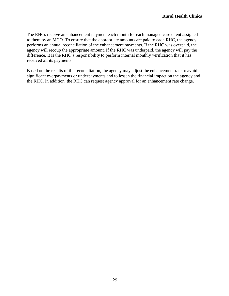The RHCs receive an enhancement payment each month for each managed care client assigned to them by an MCO. To ensure that the appropriate amounts are paid to each RHC, the agency performs an annual reconciliation of the enhancement payments. If the RHC was overpaid, the agency will recoup the appropriate amount. If the RHC was underpaid, the agency will pay the difference. It is the RHC's responsibility to perform internal monthly verification that it has received all its payments.

Based on the results of the reconciliation, the agency may adjust the enhancement rate to avoid significant overpayments or underpayments and to lessen the financial impact on the agency and the RHC. In addition, the RHC can request agency approval for an enhancement rate change.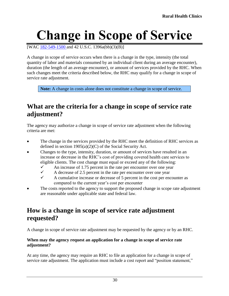# <span id="page-29-0"></span>**Change in Scope of Service**

[WAC [182-549-1500](http://app.leg.wa.gov/WAC/default.aspx?cite=182-549-1500) and 42 U.S.C. 1396a(bb)(3)(B)]

A change in scope of service occurs when there is a change in the type, intensity (the total quantity of labor and materials consumed by an individual client during an average encounter), duration (the length of an average encounter), or amount of services provided by the RHC. When such changes meet the criteria described below, the RHC may qualify for a change in scope of service rate adjustment.

**Note:** A change in costs alone does not constitute a change in scope of service.

### <span id="page-29-1"></span>**What are the criteria for a change in scope of service rate adjustment?**

The agency may authorize a change in scope of service rate adjustment when the following criteria are met:

- The change in the services provided by the RHC meet the definition of RHC services as defined in section  $1905(a)(2)(C)$  of the Social Security Act.
- Changes to the type, intensity, duration, or amount of services have resulted in an increase or decrease in the RHC's cost of providing covered health care services to eligible clients. The cost change must equal or exceed any of the following:
	- An increase of 1.75 percent in the rate per encounter over one year<br>A decrease of 2.5 percent in the rate per encounter over one year
	- $\checkmark$  A decrease of 2.5 percent in the rate per encounter over one year<br> $\checkmark$  A cumulative increase or decrease of 5 percent in the cost per enc
	- A cumulative increase or decrease of 5 percent in the cost per encounter as compared to the current year's cost per encounter
- The costs reported to the agency to support the proposed change in scope rate adjustment are reasonable under applicable state and federal law.

#### <span id="page-29-2"></span>**How is a change in scope of service rate adjustment requested?**

A change in scope of service rate adjustment may be requested by the agency or by an RHC.

#### **When may the agency request an application for a change in scope of service rate adjustment?**

At any time, the agency may require an RHC to file an application for a change in scope of service rate adjustment. The application must include a cost report and "position statement,"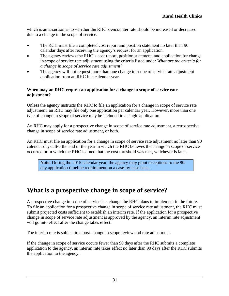which is an assertion as to whether the RHC's encounter rate should be increased or decreased due to a change in the scope of service.

- The RCH must file a completed cost report and position statement no later than 90 calendar days after receiving the agency's request for an application.
- The agency reviews the RHC's cost report, position statement, and application for change in scope of service rate adjustment using the criteria listed under *What are the criteria for a change in scope of service rate adjustment?*
- The agency will not request more than one change in scope of service rate adjustment application from an RHC in a calendar year.

#### **When may an RHC request an application for a change in scope of service rate adjustment?**

Unless the agency instructs the RHC to file an application for a change in scope of service rate adjustment, an RHC may file only one application per calendar year. However, more than one type of change in scope of service may be included in a single application.

An RHC may apply for a prospective change in scope of service rate adjustment, a retrospective change in scope of service rate adjustment, or both.

An RHC must file an application for a change in scope of service rate adjustment no later than 90 calendar days after the end of the year in which the RHC believes the change in scope of service occurred or in which the RHC learned that the cost threshold was met, whichever is later.

**Note:** During the 2015 calendar year, the agency may grant exceptions to the 90 day application timeline requirement on a case-by-case basis.

## <span id="page-30-0"></span>**What is a prospective change in scope of service?**

A prospective change in scope of service is a change the RHC plans to implement in the future. To file an application for a prospective change in scope of service rate adjustment, the RHC must submit projected costs sufficient to establish an interim rate. If the application for a prospective change in scope of service rate adjustment is approved by the agency, an interim rate adjustment will go into effect after the change takes effect.

The interim rate is subject to a post-change in scope review and rate adjustment.

If the change in scope of service occurs fewer than 90 days after the RHC submits a complete application to the agency, an interim rate takes effect no later than 90 days after the RHC submits the application to the agency.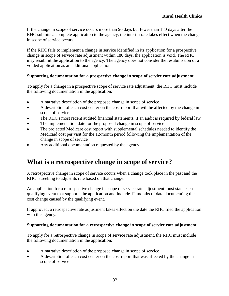If the change in scope of service occurs more than 90 days but fewer than 180 days after the RHC submits a complete application to the agency, the interim rate takes effect when the change in scope of service occurs.

If the RHC fails to implement a change in service identified in its application for a prospective change in scope of service rate adjustment within 180 days, the application is void. The RHC may resubmit the application to the agency. The agency does not consider the resubmission of a voided application as an additional application.

#### **Supporting documentation for a prospective change in scope of service rate adjustment**

To apply for a change in a prospective scope of service rate adjustment, the RHC must include the following documentation in the application:

- A narrative description of the proposed change in scope of service
- A description of each cost center on the cost report that will be affected by the change in scope of service
- The RHC's most recent audited financial statements, if an audit is required by federal law
- The implementation date for the proposed change in scope of service
- The projected Medicare cost report with supplemental schedules needed to identify the Medicaid cost per visit for the 12-month period following the implementation of the change in scope of service
- Any additional documentation requested by the agency

#### <span id="page-31-0"></span>**What is a retrospective change in scope of service?**

A retrospective change in scope of service occurs when a change took place in the past and the RHC is seeking to adjust its rate based on that change.

An application for a retrospective change in scope of service rate adjustment must state each qualifying event that supports the application and include 12 months of data documenting the cost change caused by the qualifying event.

If approved, a retrospective rate adjustment takes effect on the date the RHC filed the application with the agency.

#### **Supporting documentation for a retrospective change in scope of service rate adjustment**

To apply for a retrospective change in scope of service rate adjustment, the RHC must include the following documentation in the application:

- A narrative description of the proposed change in scope of service
- A description of each cost center on the cost report that was affected by the change in scope of service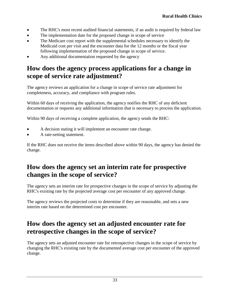- The RHC's most recent audited financial statements, if an audit is required by federal law
- The implementation date for the proposed change in scope of service
- The Medicare cost report with the supplemental schedules necessary to identify the Medicaid cost per visit and the encounter data for the 12 months or the fiscal year following implementation of the proposed change in scope of service.
- Any additional documentation requested by the agency

#### <span id="page-32-0"></span>**How does the agency process applications for a change in scope of service rate adjustment?**

The agency reviews an application for a change in scope of service rate adjustment for completeness, accuracy, and compliance with program rules.

Within 60 days of receiving the application, the agency notifies the RHC of any deficient documentation or requests any additional information that is necessary to process the application.

Within 90 days of receiving a complete application, the agency sends the RHC:

- A decision stating it will implement an encounter rate change.
- A rate-setting statement.

If the RHC does not receive the items described above within 90 days, the agency has denied the change.

#### <span id="page-32-1"></span>**How does the agency set an interim rate for prospective changes in the scope of service?**

The agency sets an interim rate for prospective changes in the scope of service by adjusting the RHC's existing rate by the projected average cost per encounter of any approved change.

The agency reviews the projected costs to determine if they are reasonable, and sets a new interim rate based on the determined cost per encounter.

### <span id="page-32-2"></span>**How does the agency set an adjusted encounter rate for retrospective changes in the scope of service?**

The agency sets an adjusted encounter rate for retrospective changes in the scope of service by changing the RHC's existing rate by the documented average cost per encounter of the approved change.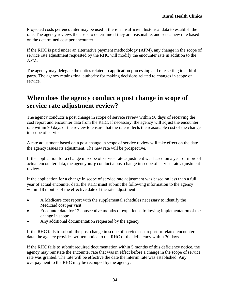Projected costs per encounter may be used if there is insufficient historical data to establish the rate. The agency reviews the costs to determine if they are reasonable, and sets a new rate based on the determined cost per encounter.

If the RHC is paid under an alternative payment methodology (APM), any change in the scope of service rate adjustment requested by the RHC will modify the encounter rate in addition to the APM.

The agency may delegate the duties related to application processing and rate setting to a third party. The agency retains final authority for making decisions related to changes in scope of service.

#### <span id="page-33-0"></span>**When does the agency conduct a post change in scope of service rate adjustment review?**

The agency conducts a post change in scope of service review within 90 days of receiving the cost report and encounter data from the RHC. If necessary, the agency will adjust the encounter rate within 90 days of the review to ensure that the rate reflects the reasonable cost of the change in scope of service.

A rate adjustment based on a post change in scope of service review will take effect on the date the agency issues its adjustment. The new rate will be prospective.

If the application for a change in scope of service rate adjustment was based on a year or more of actual encounter data, the agency **may** conduct a post change in scope of service rate adjustment review.

If the application for a change in scope of service rate adjustment was based on less than a full year of actual encounter data, the RHC **must** submit the following information to the agency within 18 months of the effective date of the rate adjustment:

- A Medicare cost report with the supplemental schedules necessary to identify the Medicaid cost per visit
- Encounter data for 12 consecutive months of experience following implementation of the change in scope
- Any additional documentation requested by the agency

If the RHC fails to submit the post change in scope of service cost report or related encounter data, the agency provides written notice to the RHC of the deficiency within 30 days.

If the RHC fails to submit required documentation within 5 months of this deficiency notice, the agency may reinstate the encounter rate that was in effect before a change in the scope of service rate was granted. The rate will be effective the date the interim rate was established. Any overpayment to the RHC may be recouped by the agency.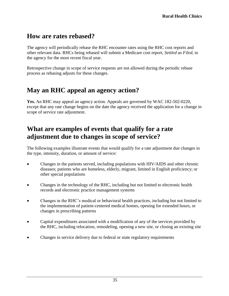#### <span id="page-34-0"></span>**How are rates rebased?**

The agency will periodically rebase the RHC encounter rates using the RHC cost reports and other relevant data. RHCs being rebased will submit a Medicare cost report, *Settled as Filed,* to the agency for the most recent fiscal year.

Retrospective change in scope of service requests are not allowed during the periodic rebase process as rebasing adjusts for these changes.

#### <span id="page-34-1"></span>**May an RHC appeal an agency action?**

**Yes.** An RHC may appeal an agency action. Appeals are governed by WAC 182-502-0220, except that any rate change begins on the date the agency received the application for a change in scope of service rate adjustment.

#### <span id="page-34-2"></span>**What are examples of events that qualify for a rate adjustment due to changes in scope of service?**

The following examples illustrate events that would qualify for a rate adjustment due changes in the type, intensity, duration, or amount of service:

- Changes in the patients served, including populations with HIV/AIDS and other chronic diseases; patients who are homeless, elderly, migrant, limited in English proficiency; or other special populations
- Changes in the technology of the RHC, including but not limited to electronic health records and electronic practice management systems
- Changes in the RHC's medical or behavioral health practices, including but not limited to the implementation of patient-centered medical homes, opening for extended hours, or changes in prescribing patterns
- Capital expenditures associated with a modification of any of the services provided by the RHC, including relocation, remodeling, opening a new site, or closing an existing site
- Changes in service delivery due to federal or state regulatory requirements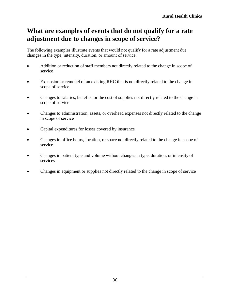### <span id="page-35-0"></span>**What are examples of events that do not qualify for a rate adjustment due to changes in scope of service?**

The following examples illustrate events that would not qualify for a rate adjustment due changes in the type, intensity, duration, or amount of service:

- Addition or reduction of staff members not directly related to the change in scope of service
- Expansion or remodel of an existing RHC that is not directly related to the change in scope of service
- Changes to salaries, benefits, or the cost of supplies not directly related to the change in scope of service
- Changes to administration, assets, or overhead expenses not directly related to the change in scope of service
- Capital expenditures for losses covered by insurance
- Changes in office hours, location, or space not directly related to the change in scope of service
- Changes in patient type and volume without changes in type, duration, or intensity of services
- Changes in equipment or supplies not directly related to the change in scope of service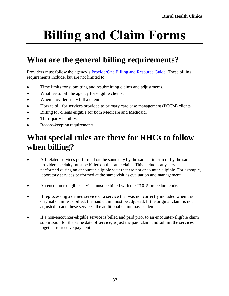# <span id="page-36-0"></span>**Billing and Claim Forms**

# <span id="page-36-1"></span>**What are the general billing requirements?**

Providers must follow the agency's **ProviderOne Billing and Resource Guide**. These billing requirements include, but are not limited to:

- Time limits for submitting and resubmitting claims and adjustments.
- What fee to bill the agency for eligible clients.
- When providers may bill a client.
- How to bill for services provided to primary care case management (PCCM) clients.
- Billing for clients eligible for both Medicare and Medicaid.
- Third-party liability.
- Record-keeping requirements.

# <span id="page-36-2"></span>**What special rules are there for RHCs to follow when billing?**

- All related services performed on the same day by the same clinician or by the same provider specialty must be billed on the same claim. This includes any services performed during an encounter-eligible visit that are not encounter-eligible. For example, laboratory services performed at the same visit as evaluation and management.
- An encounter-eligible service must be billed with the T1015 procedure code.
- If reprocessing a denied service or a service that was not correctly included when the original claim was billed, the paid claim must be adjusted. If the original claim is not adjusted to add these services, the additional claim may be denied.
- If a non-encounter-eligible service is billed and paid prior to an encounter-eligible claim submission for the same date of service, adjust the paid claim and submit the services together to receive payment.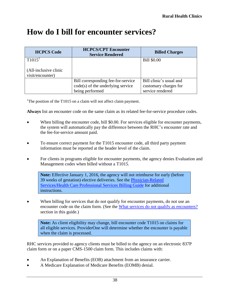## <span id="page-37-0"></span>**How do I bill for encounter services?**

| <b>HCPCS Code</b>                         | <b>HCPCS/CPT Encounter</b><br><b>Service Rendered</b> | <b>Billed Charges</b>   |
|-------------------------------------------|-------------------------------------------------------|-------------------------|
| T1015 <sup>1</sup>                        |                                                       | <b>Bill \$0.00</b>      |
| (All-inclusive clinic<br>visit/encounter) |                                                       |                         |
|                                           | Bill corresponding fee-for-service                    | Bill clinic's usual and |
|                                           | $code(s)$ of the underlying service                   | customary charges for   |
|                                           | being performed                                       | service rendered        |

<sup>1</sup>The position of the T1015 on a claim will not affect claim payment.

**Always** list an encounter code on the same claim as its related fee-for-service procedure codes.

- When billing the encounter code, bill \$0.00. For services eligible for encounter payments, the system will automatically pay the difference between the RHC's encounter rate and the fee-for-service amount paid.
- To ensure correct payment for the T1015 encounter code, all third party payment information must be reported at the header level of the claim.
- For clients in programs eligible for encounter payments, the agency denies Evaluation and Management codes when billed without a T1015.

**Note:** Effective January 1, 2016, the agency will not reimburse for early (before 39 weeks of gestation) elective deliveries. See the [Physician-Related](http://www.hca.wa.gov/node/301#collapse40)  [Services/Health Care Professional Services Billing Guide](http://www.hca.wa.gov/node/301#collapse40) for additional instructions.

 When billing for services that do not qualify for encounter payments, do not use an encounter code on the claim form. (See the [What services do not qualify as encounters?](#page-24-0) section in this guide.)

**Note:** As client eligibility may change, bill encounter code T1015 on claims for all eligible services. ProviderOne will determine whether the encounter is payable when the claim is processed.

RHC services provided to agency clients must be billed to the agency on an electronic 837P claim form or on a paper CMS-1500 claim form. This includes claims with:

- An Explanation of Benefits (EOB) attachment from an insurance carrier.
- A Medicare Explanation of Medicare Benefits (EOMB) denial.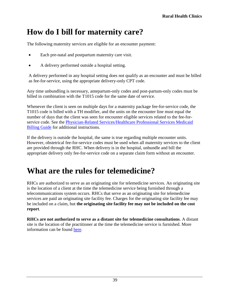# <span id="page-38-1"></span>**How do I bill for maternity care?**

The following maternity services are eligible for an encounter payment:

- Each pre-natal and postpartum maternity care visit.
- A delivery performed outside a hospital setting.

A delivery performed in any hospital setting does not qualify as an encounter and must be billed as fee-for-service, using the appropriate delivery-only CPT code.

Any time unbundling is necessary, antepartum-only codes and post-partum-only codes must be billed in combination with the T1015 code for the same date of service.

Whenever the client is seen on multiple days for a maternity package fee-for-service code, the T1015 code is billed with a TH modifier, and the units on the encounter line must equal the number of days that the client was seen for encounter eligible services related to the fee-forservice code. See the [Physician-Related Services/Healthcare Professional Services Medicaid](http://www.hca.wa.gov/node/301#collapse40)  [Billing Guide](http://www.hca.wa.gov/node/301#collapse40) for additional instructions.

If the delivery is outside the hospital, the same is true regarding multiple encounter units. However, obstetrical fee-for-service codes must be used when all maternity services to the client are provided through the RHC. When delivery is in the hospital, unbundle and bill the appropriate delivery only fee-for-service code on a separate claim form without an encounter.

## <span id="page-38-0"></span>**What are the rules for telemedicine?**

RHCs are authorized to serve as an originating site for telemedicine services. An originating site is the location of a client at the time the telemedicine service being furnished through a telecommunications system occurs. RHCs that serve as an originating site for telemedicine services are paid an originating site facility fee. Charges for the originating site facility fee may be included on a claim, but **the originating site facility fee may not be included on the cost report**.

**RHCs are not authorized to serve as a distant site for telemedicine consultations**. A distant site is the location of the practitioner at the time the telemedicine service is furnished. More information can be found [here.](https://www.cms.gov/Outreach-and-Education/Medicare-Learning-Network-MLN/MLNProducts/downloads/RuralHlthClinfctsht.pdf)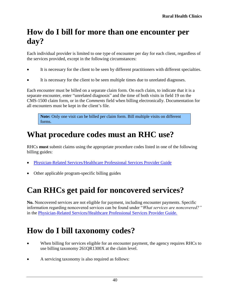# <span id="page-39-0"></span>**How do I bill for more than one encounter per day?**

Each individual provider is limited to one type of encounter per day for each client, regardless of the services provided, except in the following circumstances:

- It is necessary for the client to be seen by different practitioners with different specialties.
- It is necessary for the client to be seen multiple times due to unrelated diagnoses.

Each encounter must be billed on a separate claim form. On each claim, to indicate that it is a separate encounter, enter "unrelated diagnosis" and the time of both visits in field 19 on the CMS-1500 claim form, or in the *Comments* field when billing electronically. Documentation for all encounters must be kept in the client's file.

**Note:** Only one visit can be billed per claim form. Bill multiple visits on different forms.

# <span id="page-39-1"></span>**What procedure codes must an RHC use?**

RHCs **must** submit claims using the appropriate procedure codes listed in one of the following billing guides:

- [Physician-Related Services/Healthcare](http://www.hca.wa.gov/node/301#collapse40) Professional Services Provider Guide
- Other applicable program-specific billing guides

# <span id="page-39-2"></span>**Can RHCs get paid for noncovered services?**

**No.** Noncovered services are not eligible for payment, including encounter payments. Specific information regarding noncovered services can be found under "*What services are noncovered?"* in the [Physician-Related Services/Healthcare Professional Services](http://www.hca.wa.gov/node/301#collapse40) Provider Guide.

# <span id="page-39-3"></span>**How do I bill taxonomy codes?**

- When billing for services eligible for an encounter payment, the agency requires RHCs to use billing taxonomy 261QR1300X at the claim level.
- A servicing taxonomy is also required as follows: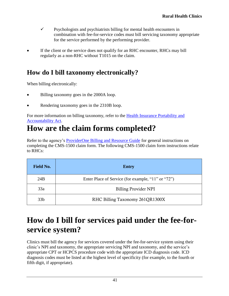- $\checkmark$  Psychologists and psychiatrists billing for mental health encounters in combination with fee-for-service codes must bill servicing taxonomy appropriate for the service performed by the performing provider.
- If the client or the service does not qualify for an RHC encounter, RHCs may bill regularly as a non-RHC without T1015 on the claim.

### <span id="page-40-0"></span>**How do I bill taxonomy electronically?**

When billing electronically:

- Billing taxonomy goes in the 2000A loop.
- Rendering taxonomy goes in the 2310B loop.

For more information on billing taxonomy, refer to the [Health Insurance Portability and](http://www.hca.wa.gov/node/2336)  [Accountability Act.](http://www.hca.wa.gov/node/2336)

# <span id="page-40-1"></span>**How are the claim forms completed?**

Refer to the agency's [ProviderOne Billing and Resource Guide](http://www.hca.wa.gov/node/311) for general instructions on completing the CMS-1500 claim form. The following CMS-1500 claim form instructions relate to RHCs:

| <b>Field No.</b> | <b>Entry</b>                                       |  |
|------------------|----------------------------------------------------|--|
| 24B              | Enter Place of Service (for example, "11" or "72") |  |
| 33a              | Billing Provider NPI                               |  |
| 33 <sub>b</sub>  | RHC Billing Taxonomy 261QR1300X                    |  |

# <span id="page-40-2"></span>**How do I bill for services paid under the fee-forservice system?**

Clinics must bill the agency for services covered under the fee-for-service system using their clinic's NPI and taxonomy, the appropriate servicing NPI and taxonomy, and the service's appropriate CPT or HCPCS procedure code with the appropriate ICD diagnosis code. ICD diagnosis codes must be listed at the highest level of specificity (for example, to the fourth or fifth digit, if appropriate).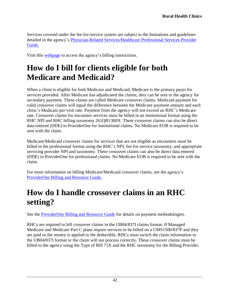Services covered under the fee-for-service system are subject to the limitations and guidelines detailed in the agency's [Physician-Related Services/Healthcare Professional Services](http://www.hca.wa.gov/node/301#collapse40) Provider [Guide.](http://www.hca.wa.gov/node/301#collapse40)

Visit this [webpage](http://www.hca.wa.gov/node/136) to access the agency's billing instructions.

## <span id="page-41-0"></span>**How do I bill for clients eligible for both Medicare and Medicaid?**

When a client is eligible for both Medicare and Medicaid, Medicare is the primary payer for services provided. After Medicare has adjudicated the claims, they can be sent to the agency for secondary payment. These claims are called Medicare crossover claims. Medicaid payment for valid crossover claims will equal the difference between the Medicare payment amount and each clinic's Medicare per-visit rate. Payment from the agency will not exceed an RHC's Medicare rate. Crossover claims for encounter services must be billed in an institutional format using the RHC NPI and RHC billing taxonomy 261QR1300X. These crossover claims can also be direct data entered (DDE) in ProviderOne for institutional claims. No Medicare EOB is required to be sent with the claim.

Medicare/Medicaid crossover claims for services that are not eligible as encounters must be billed in the professional format using the RHC's NPI, fee-for-service taxonomy, and appropriate servicing provider NPI and taxonomy. These crossover claims can also be direct data entered (DDE) in ProviderOne for professional claims. No Medicare EOB is required to be sent with the claim.

For more information on billing Medicare/Medicaid crossover claims, see the agency's [ProviderOne Billing and Resource Guide.](http://www.hca.wa.gov/node/311)

# <span id="page-41-1"></span>**How do I handle crossover claims in an RHC setting?**

See the **ProviderOne Billing and Resource Guide** for details on payment methodologies.

RHCs are required to bill crossover claims in the UB04/837I claims format. If Managed Medicare and Medicare Part C plans require services to be billed on a CMS1500/837P and they are paid or the money is applied to the deductible, RHCs must switch the claim information to the UB04/837I format or the claim will not process correctly. These crossover claims must be billed to the agency using the Type of Bill 71X and the RHC taxonomy for the Billing Provider.